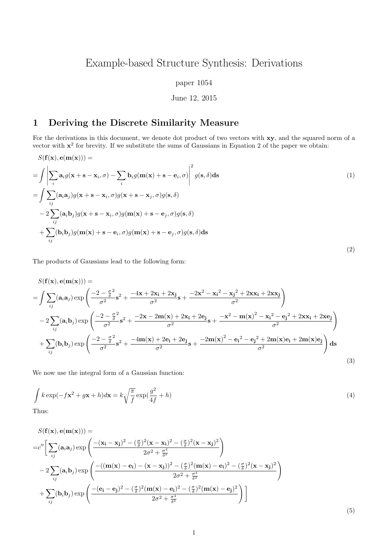# Example-based Structure Synthesis: Derivations

#### paper 1054

#### June 12, 2015

## 1 Deriving the Discrete Similarity Measure

For the derivations in this document, we denote dot product of two vectors with xy, and the squared norm of a vector with  $x^2$  for brevity. If we substitute the sums of Gaussians in Equation 2 of the paper we obtain:

$$
S(\mathbf{f}(\mathbf{x}), \mathbf{e}(\mathbf{m}(\mathbf{x}))) =
$$
\n
$$
= \int \left| \sum_{i} \mathbf{a}_{i} g(\mathbf{x} + \mathbf{s} - \mathbf{x}_{i}, \sigma) - \sum_{i} \mathbf{b}_{i} g(\mathbf{m}(\mathbf{x}) + \mathbf{s} - \mathbf{e}_{i}, \sigma) \right|^{2} g(\mathbf{s}, \delta) \, \mathrm{d}\mathbf{s}
$$
\n
$$
= \int \sum_{ij} (\mathbf{a}_{i} \mathbf{a}_{j}) g(\mathbf{x} + \mathbf{s} - \mathbf{x}_{i}, \sigma) g(\mathbf{x} + \mathbf{s} - \mathbf{x}_{j}, \sigma) g(\mathbf{s}, \delta)
$$
\n
$$
- 2 \sum_{ij} (\mathbf{a}_{i} \mathbf{b}_{j}) g(\mathbf{x} + \mathbf{s} - \mathbf{x}_{i}, \sigma) g(\mathbf{m}(\mathbf{x}) + \mathbf{s} - \mathbf{e}_{j}, \sigma) g(\mathbf{s}, \delta)
$$
\n
$$
+ \sum_{ij} (\mathbf{b}_{i} \mathbf{b}_{j}) g(\mathbf{m}(\mathbf{x}) + \mathbf{s} - \mathbf{e}_{i}, \sigma) g(\mathbf{m}(\mathbf{x}) + \mathbf{s} - \mathbf{e}_{j}, \sigma) g(\mathbf{s}, \delta) \, \mathrm{d}\mathbf{s}
$$
\n(2)

The products of Gaussians lead to the following form:

$$
S(\mathbf{f}(\mathbf{x}), \mathbf{e}(\mathbf{m}(\mathbf{x}))) =
$$
\n
$$
= \int \sum_{ij} (\mathbf{a}_i \mathbf{a}_j) \exp\left(\frac{-2 - \frac{\sigma^2}{\delta}}{\sigma^2} \mathbf{s}^2 + \frac{-4\mathbf{x} + 2\mathbf{x}_i + 2\mathbf{x}_j}{\sigma^2} \mathbf{s} + \frac{-2\mathbf{x}^2 - \mathbf{x}_i^2 - \mathbf{x}_j^2 + 2\mathbf{x}\mathbf{x}_i + 2\mathbf{x}\mathbf{x}_j}{\sigma^2}\right)
$$
\n
$$
- 2 \sum_{ij} (\mathbf{a}_i \mathbf{b}_j) \exp\left(\frac{-2 - \frac{\sigma^2}{\delta}}{\sigma^2} \mathbf{s}^2 + \frac{-2\mathbf{x} - 2\mathbf{m}(\mathbf{x}) + 2\mathbf{x}_i + 2\mathbf{e}_j}{\sigma^2} \mathbf{s} + \frac{-\mathbf{x}^2 - \mathbf{m}(\mathbf{x})^2 - \mathbf{x}_i^2 - \mathbf{e}_j^2 + 2\mathbf{x}\mathbf{x}_i + 2\mathbf{x}\mathbf{e}_j}{\sigma^2}\right)
$$
\n
$$
+ \sum_{ij} (\mathbf{b}_i \mathbf{b}_j) \exp\left(\frac{-2 - \frac{\sigma^2}{\delta}}{\sigma^2} \mathbf{s}^2 + \frac{-4\mathbf{m}(\mathbf{x}) + 2\mathbf{e}_i + 2\mathbf{e}_j}{\sigma^2} \mathbf{s} + \frac{-2\mathbf{m}(\mathbf{x})^2 - \mathbf{e}_i^2 - \mathbf{e}_j^2 + 2\mathbf{m}(\mathbf{x})\mathbf{e}_i + 2\mathbf{m}(\mathbf{x})\mathbf{e}_j}{\sigma^2}\right) \mathbf{ds}
$$
\n(3)

We now use the integral form of a Gaussian function:

$$
\int k \exp(-f\mathbf{x}^2 + g\mathbf{x} + h) d\mathbf{x} = k \sqrt{\frac{\pi}{f}} \exp(\frac{g^2}{4f} + h)
$$
\n(4)

Thus:

$$
S(\mathbf{f}(\mathbf{x}), \mathbf{e}(\mathbf{m}(\mathbf{x}))) =
$$
  
\n
$$
= c'' \bigg[ \sum_{ij} (\mathbf{a}_i \mathbf{a}_j) \exp \left( \frac{- (\mathbf{x}_i - \mathbf{x}_j)^2 - (\frac{\sigma}{\delta})^2 (\mathbf{x} - \mathbf{x}_i)^2 - (\frac{\sigma}{\delta})^2 (\mathbf{x} - \mathbf{x}_j)^2}{2\sigma^2 + \frac{\sigma^4}{\delta^2}} \right)
$$
  
\n
$$
- 2 \sum_{ij} (\mathbf{a}_i \mathbf{b}_j) \exp \left( \frac{-((\mathbf{m}(\mathbf{x}) - \mathbf{e}_i) - (\mathbf{x} - \mathbf{x}_j))^2 - (\frac{\sigma}{\delta})^2 (\mathbf{m}(\mathbf{x}) - \mathbf{e}_i)^2 - (\frac{\sigma}{\delta})^2 (\mathbf{x} - \mathbf{x}_j)^2}{2\sigma^2 + \frac{\sigma^4}{\delta^2}} \right)
$$
  
\n
$$
+ \sum_{ij} (\mathbf{b}_i \mathbf{b}_j) \exp \left( \frac{-(\mathbf{e}_i - \mathbf{e}_j)^2 - (\frac{\sigma}{\delta})^2 (\mathbf{m}(\mathbf{x}) - \mathbf{e}_i)^2 - (\frac{\sigma}{\delta})^2 (\mathbf{m}(\mathbf{x}) - \mathbf{e}_j)^2}{2\sigma^2 + \frac{\sigma^4}{\delta^2}} \right) \bigg]
$$

| ۰. |  |
|----|--|